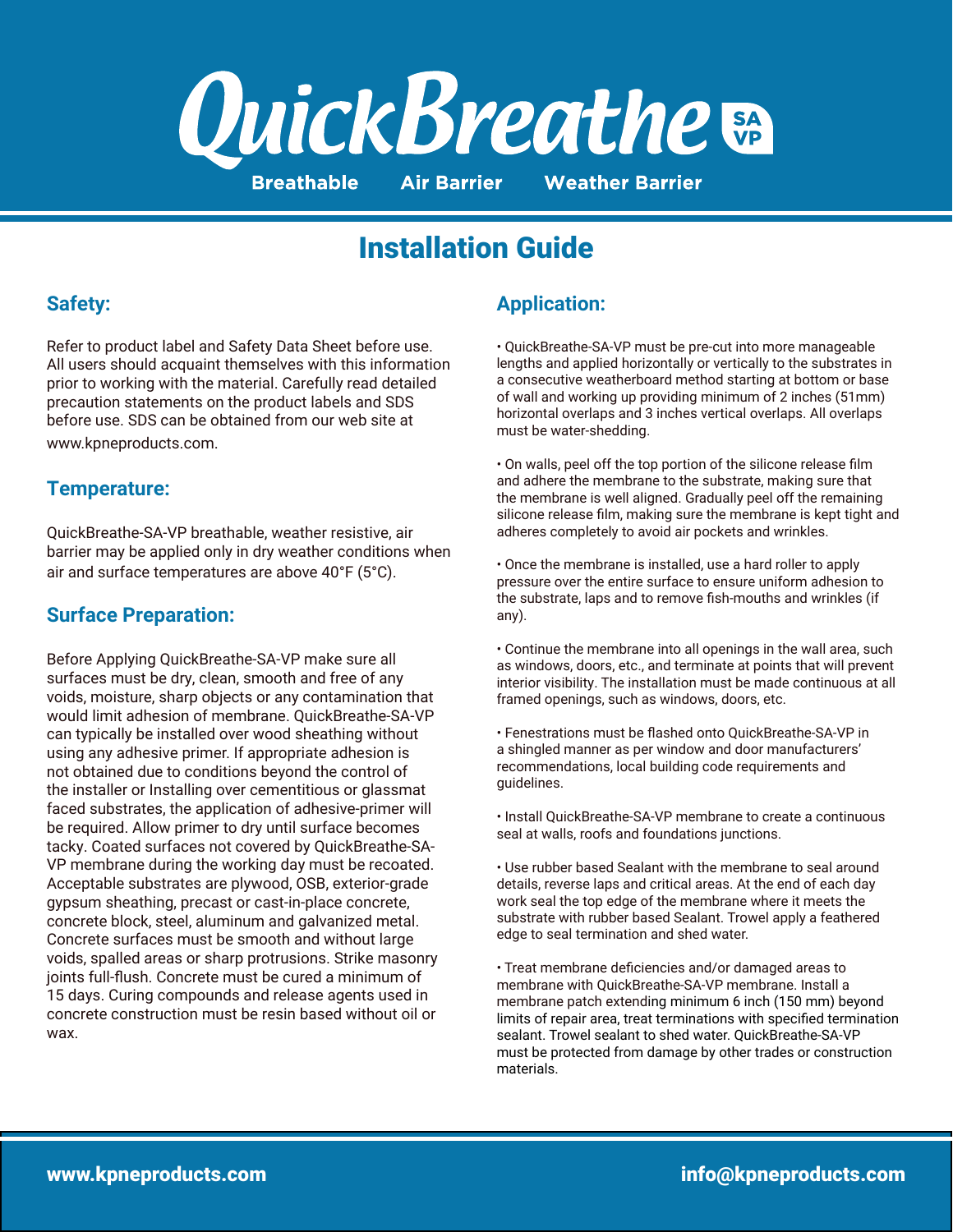

# Installation Guide

### **Safety:**

Refer to product label and Safety Data Sheet before use. All users should acquaint themselves with this information prior to working with the material. Carefully read detailed precaution statements on the product labels and SDS before use. SDS can be obtained from our web site at www.kpneproducts.com.

#### **Temperature:**

QuickBreathe-SA-VP breathable, weather resistive, air barrier may be applied only in dry weather conditions when air and surface temperatures are above 40°F (5°C).

## **Surface Preparation:**

Before Applying QuickBreathe-SA-VP make sure all surfaces must be dry, clean, smooth and free of any voids, moisture, sharp objects or any contamination that would limit adhesion of membrane. QuickBreathe-SA-VP can typically be installed over wood sheathing without using any adhesive primer. If appropriate adhesion is not obtained due to conditions beyond the control of the installer or Installing over cementitious or glassmat faced substrates, the application of adhesive-primer will be required. Allow primer to dry until surface becomes tacky. Coated surfaces not covered by QuickBreathe-SA-VP membrane during the working day must be recoated. Acceptable substrates are plywood, OSB, exterior-grade gypsum sheathing, precast or cast-in-place concrete, concrete block, steel, aluminum and galvanized metal. Concrete surfaces must be smooth and without large voids, spalled areas or sharp protrusions. Strike masonry joints full-flush. Concrete must be cured a minimum of 15 days. Curing compounds and release agents used in concrete construction must be resin based without oil or wax.

## **Application:**

• QuickBreathe-SA-VP must be pre-cut into more manageable lengths and applied horizontally or vertically to the substrates in a consecutive weatherboard method starting at bottom or base of wall and working up providing minimum of 2 inches (51mm) horizontal overlaps and 3 inches vertical overlaps. All overlaps must be water-shedding.

• On walls, peel off the top portion of the silicone release film and adhere the membrane to the substrate, making sure that the membrane is well aligned. Gradually peel off the remaining silicone release film, making sure the membrane is kept tight and adheres completely to avoid air pockets and wrinkles.

• Once the membrane is installed, use a hard roller to apply pressure over the entire surface to ensure uniform adhesion to the substrate, laps and to remove fish-mouths and wrinkles (if any).

• Continue the membrane into all openings in the wall area, such as windows, doors, etc., and terminate at points that will prevent interior visibility. The installation must be made continuous at all framed openings, such as windows, doors, etc.

• Fenestrations must be flashed onto QuickBreathe-SA-VP in a shingled manner as per window and door manufacturers' recommendations, local building code requirements and guidelines.

• Install QuickBreathe-SA-VP membrane to create a continuous seal at walls, roofs and foundations junctions.

• Use rubber based Sealant with the membrane to seal around details, reverse laps and critical areas. At the end of each day work seal the top edge of the membrane where it meets the substrate with rubber based Sealant. Trowel apply a feathered edge to seal termination and shed water.

• Treat membrane deficiencies and/or damaged areas to membrane with QuickBreathe-SA-VP membrane. Install a membrane patch extending minimum 6 inch (150 mm) beyond limits of repair area, treat terminations with specified termination sealant. Trowel sealant to shed water. QuickBreathe-SA-VP must be protected from damage by other trades or construction materials.